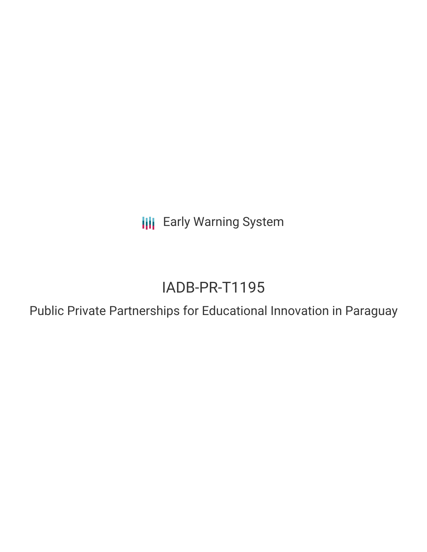**III** Early Warning System

# IADB-PR-T1195

Public Private Partnerships for Educational Innovation in Paraguay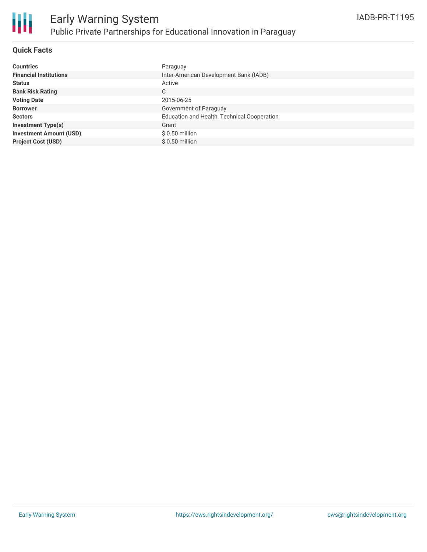

#### **Quick Facts**

| <b>Countries</b>               | Paraguay                                    |
|--------------------------------|---------------------------------------------|
| <b>Financial Institutions</b>  | Inter-American Development Bank (IADB)      |
| <b>Status</b>                  | Active                                      |
| <b>Bank Risk Rating</b>        | C                                           |
| <b>Voting Date</b>             | 2015-06-25                                  |
| <b>Borrower</b>                | Government of Paraguay                      |
| <b>Sectors</b>                 | Education and Health, Technical Cooperation |
| <b>Investment Type(s)</b>      | Grant                                       |
| <b>Investment Amount (USD)</b> | $$0.50$ million                             |
| <b>Project Cost (USD)</b>      | $$0.50$ million                             |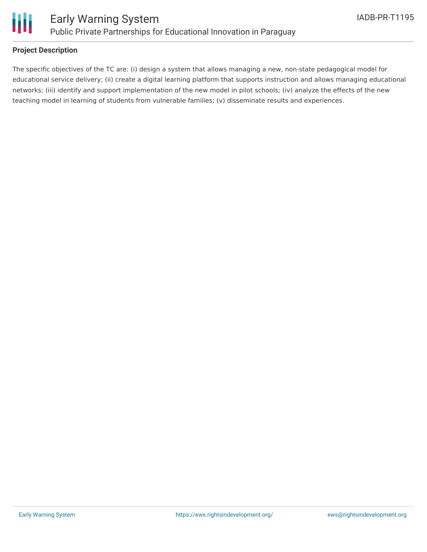

#### **Project Description**

The specific objectives of the TC are: (i) design a system that allows managing a new, non-state pedagogical model for educational service delivery; (ii) create a digital learning platform that supports instruction and allows managing educational networks; (iii) identify and support implementation of the new model in pilot schools; (iv) analyze the effects of the new teaching model in learning of students from vulnerable families; (v) disseminate results and experiences.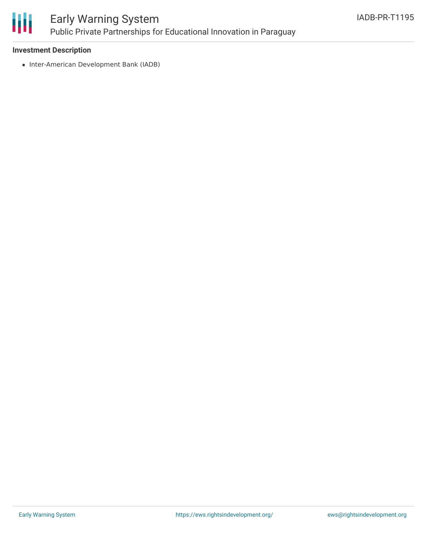

## Early Warning System Public Private Partnerships for Educational Innovation in Paraguay

#### **Investment Description**

• Inter-American Development Bank (IADB)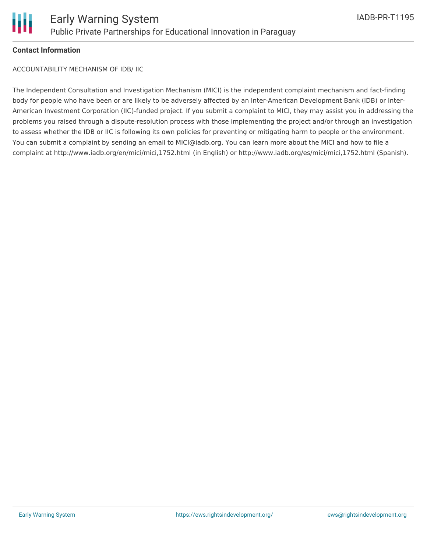

#### **Contact Information**

ACCOUNTABILITY MECHANISM OF IDB/ IIC

The Independent Consultation and Investigation Mechanism (MICI) is the independent complaint mechanism and fact-finding body for people who have been or are likely to be adversely affected by an Inter-American Development Bank (IDB) or Inter-American Investment Corporation (IIC)-funded project. If you submit a complaint to MICI, they may assist you in addressing the problems you raised through a dispute-resolution process with those implementing the project and/or through an investigation to assess whether the IDB or IIC is following its own policies for preventing or mitigating harm to people or the environment. You can submit a complaint by sending an email to MICI@iadb.org. You can learn more about the MICI and how to file a complaint at http://www.iadb.org/en/mici/mici,1752.html (in English) or http://www.iadb.org/es/mici/mici,1752.html (Spanish).